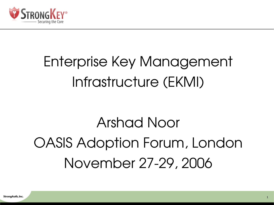

# Enterprise Key Management Infrastructure (EKMI)

# Arshad Noor OASIS Adoption Forum, London November 27-29, 2006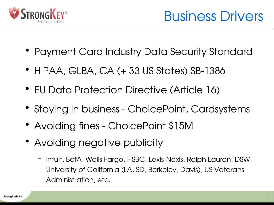

- Payment Card Industry Data Security Standard
- HIPAA, GLBA, CA (+ 33 US States) SB-1386
- EU Data Protection Directive (Article 16)
- Staying in business ChoicePoint, Cardsystems
- Avoiding fines ChoicePoint \$15M
- Avoiding negative publicity
	- Intuit, BofA, Wells Fargo, HSBC, Lexis-Nexis, Ralph Lauren, DSW, University of California (LA, SD, Berkeley, Davis), US Veterans Administration, etc.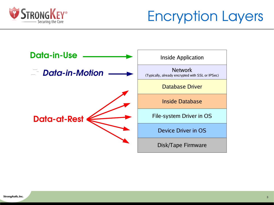

Encryption Layers

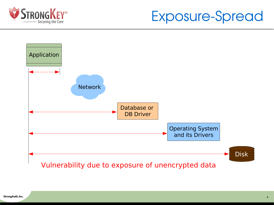

#### Exposure-Spread

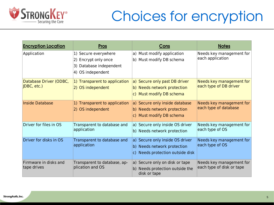

### Choices for encryption

| <b>Encryption Location</b>            | <b>Pros</b>                                                                                  | Cons                                                                                               | <b>Notes</b>                                          |
|---------------------------------------|----------------------------------------------------------------------------------------------|----------------------------------------------------------------------------------------------------|-------------------------------------------------------|
| Application                           | 1) Secure everywhere<br>2) Encrypt only once<br>3) Database independent<br>4) OS independent | a) Must modify application<br>b) Must modify DB schema                                             | Needs key management for<br>each application          |
| Database Driver (ODBC,<br>JDBC, etc.) | 1) Transparent to application<br>2) OS independent                                           | a) Secure only past DB driver<br>b) Needs network protection<br>c) Must modify DB schema           | Needs key management for<br>each type of DB driver    |
| <b>Inside Database</b>                | 1) Transparent to application<br>2) OS independent                                           | a) Secure only inside database<br>b) Needs network protection<br>c) Must modify DB schema          | Needs key management for<br>each type of database     |
| Driver for files in OS                | Transparent to database and<br>application                                                   | a) Secure only inside OS driver<br>b) Needs network protection                                     | Needs key management for<br>each type of OS           |
| Driver for disks in OS                | Transparent to database and<br>application                                                   | a) Secure only inside OS driver<br>b) Needs network protection<br>c) Needs protection outside disk | Needs key management for<br>each type of OS           |
| Firmware in disks and<br>tape drives  | Transparent to database, ap-<br>plication and OS                                             | a) Secure only on disk or tape<br>b) Needs protection outside the<br>disk or tape                  | Needs key management for<br>each type of disk or tape |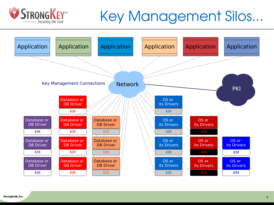

#### Key Management Silos...

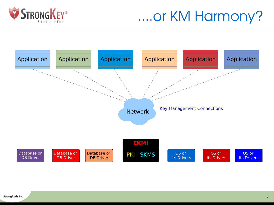

#### ....or KM Harmony?

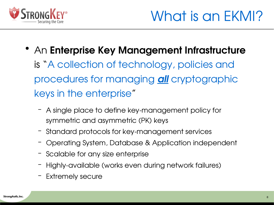

- An Enterprise Key Management Infrastructure is "A collection of technology, policies and procedures for managing *all* cryptographic keys in the enterprise"
	- A single place to define key-management policy for symmetric and asymmetric (PK) keys
	- Standard protocols for key-management services
	- Operating System, Database & Application independent
	- Scalable for any size enterprise
	- Highly-available (works even during network failures)
	- Extremely secure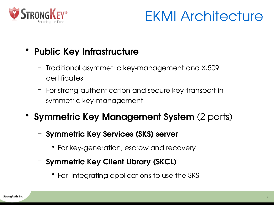

EKMI Architecture

- Public Key Infrastructure
	- Traditional asymmetric keymanagement and X.509 certificates
	- For strong-authentication and secure key-transport in symmetric key-management
- Symmetric Key Management System (2 parts)
	- Symmetric Key Services (SKS) server
		- For key-generation, escrow and recovery
	- Symmetric Key Client Library (SKCL)
		- For integrating applications to use the SKS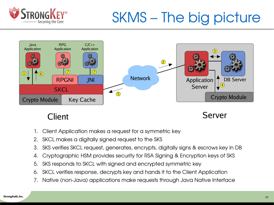

## SKMS – The big picture



Client Server

- 1. Client Application makes a request for a symmetric key
- 2. SKCL makes a digitally signed request to the SKS
- 3. SKS verifies SKCL request, generates, encrypts, digitally signs & escrows key in DB
- 4. Cryptographic HSM provides security for RSA Signing & Encryption keys of SKS
- 5. SKS responds to SKCL with signed and encrypted symmetric key
- 6. SKCL verifies response, decrypts key and hands it to the Client Application
- 7. Native (non-Java) applications make requests through Java Native Interface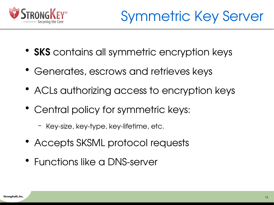

- SKS contains all symmetric encryption keys
- Generates, escrows and retrieves keys
- ACLs authorizing access to encryption keys
- Central policy for symmetric keys:
	- Key-size, key-type, key-lifetime, etc.
- Accepts SKSML protocol requests
- Functions like a DNS-server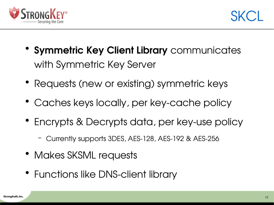



- Symmetric Key Client Library communicates with Symmetric Key Server
- Requests (new or existing) symmetric keys
- Caches keys locally, per key-cache policy
- Encrypts & Decrypts data, per key-use policy
	- Currently supports 3DES, AES-128, AES-192 & AES-256
- Makes SKSML requests
- Functions like DNS-client library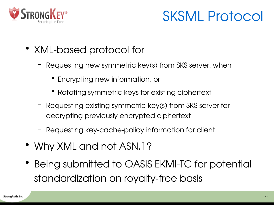

SKSML Protocol

- XML-based protocol for
	- Requesting new symmetric key(s) from SKS server, when
		- Encrypting new information, or
		- Rotating symmetric keys for existing ciphertext
	- Requesting existing symmetric key(s) from SKS server for decrypting previously encrypted ciphertext
	- Requesting key-cache-policy information for client
- Why XML and not ASN.1?
- Being submitted to OASIS EKMI-TC for potential standardization on royalty-free basis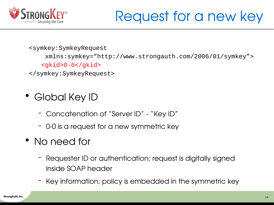

<symkey:SymkeyRequest

xmlns:symkey="http://www.strongauth.com/2006/01/symkey">

<gkid>0-0</gkid>

</symkey:SymkeyRequest>

- Global Key ID
	- Concatenation of "Server ID" "Key ID"
	- 0-0 is a request for a new symmetric key
- No need for
	- Requester ID or authentication; request is digitally signed inside SOAP header
	- Key information; policy is embedded in the symmetric key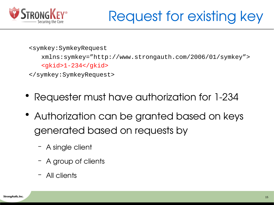

```
<symkey:SymkeyRequest
```

```
xmlns:symkey="http://www.strongauth.com/2006/01/symkey">
<gkid>1-234</gkid>
```

```
</symkey:SymkeyRequest>
```
- Requester must have authorization for 1-234
- Authorization can be granted based on keys generated based on requests by
	- A single client
	- A group of clients
	- All clients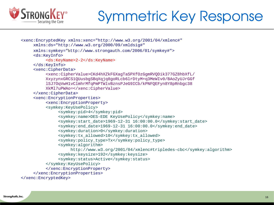

### Symmetric Key Response

```
<xenc:EncryptedKey xmlns:xenc="http://www.w3.org/2001/04/xmlenc#"
    xmlns:ds="http://www.w3.org/2000/09/xmldsig#"
    xmlns:symkey="http://www.strongauth.com/2006/01/symkey#">
     <ds:KeyInfo>
          <ds:KeyName>2-2</ds:KeyName>
     </ds:KeyInfo>
     <xenc:CipherData>
          <xenc:CipherValue>CKd4hXZkFGXagTaSPXfOzGgmRVQDik377GZ8hbXfL/
          XxyzynxGRCS1QUusbgSBqXqjq8goRLcb6lrDtyM+q3MeWIv0/BAoZyUJrGGf
          lSJ7OqVwH1vClmhrMfqPmPTWlvBznsPJeG9ICb/kPNFQEFyn8Y8pRnbgc38
         XkMl7uPWAo=</xenc:CipherValue>
     </xenc:CipherData>
     <xenc:EncryptionProperties>
          <xenc:EncryptionProperty>
          <symkey:KeyUsePolicy>
               <symkey:pid>4</symkey:pid>
               <symkey:name>DES-EDE KeyUsePolicy</symkey:name>
               <symkey:start_date>1969-12-31 16:00:00.0</symkey:start_date>
               <symkey:end_date>1969-12-31 16:00:00.0</symkey:end_date>
               <symkey:duration>0</symkey:duration>
               <symkey:tx_allowed>10</symkey:tx_allowed>
               <symkey:policy_type>Tx</symkey:policy_type>
               <symkey:algorithm>
                    http://www.w3.org/2001/04/xmlenc#tripledes-cbc</symkey:algorithm>
               <symkey:keysize>192</symkey:keysize>
               <symkey:status>Active</symkey:status>
          </symkey:KeyUsePolicy>
          </xenc:EncryptionProperty>
     </xenc:EncryptionProperties>
</xenc:EncryptedKey>
```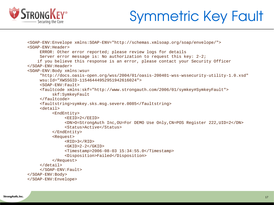

## Symmetric Key Fault

```
<SOAP-ENV:Envelope xmlns:SOAP-ENV="http://schemas.xmlsoap.org/soap/envelope/">
<SOAP-ENV:Header>
    ERROR: Other error reported; please review logs for details
    Server error message is: No authorization to request this key: 2-2;
    if you believe this response is an error, please contact your Security Officer
</SOAP-ENV:Header>
<SOAP-ENV:Body xmlns:wsu=
     "http://docs.oasis-open.org/wss/2004/01/oasis-200401-wss-wssecurity-utility-1.0.xsd"
    wsu:Id="XWSSGID-11546444952951942616024">
     <SOAP-ENV:Fault>
    <faultcode xmlns:skf="http://www.strongauth.com/2006/01/symkey#SymkeyFault">
          skf:SymkeyFault
     </faultcode>
    <faultstring>symkey.sks.msg.severe.0085</faultstring>
     <detail>
          <EndEntity>
               <EEID>2</EEID>
               <DN>O=StrongAuth Inc,OU=For DEMO Use Only,CN=POS Register 222,UID=2</DN>
               <Status>Active</Status>
          </EndEntity>
          <Request>
               <RID>3</RID>
               <GKID>2-2</GKID>
               <Timestamp>2006-08-03 15:34:55.0</Timestamp>
               <Disposition>Failed</Disposition>
          </Request>
     </detail>
    </SOAP-ENV:Fault>
</SOAP-ENV:Body>
</SOAP-ENV:Envelope>
```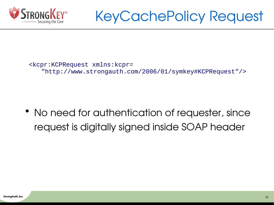

<kcpr:KCPRequest xmlns:kcpr= "http://www.strongauth.com/2006/01/symkey#KCPRequest"/>

• No need for authentication of requester, since request is digitally signed inside SOAP header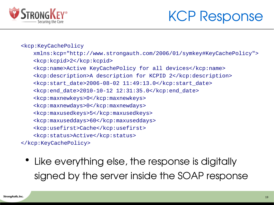

#### KCP Response

#### <kcp:KeyCachePolicy

- xmlns:kcp=["http://www.strongauth.com/2006/01/symkey#KeyCachePolicy](http://www.strongauth.com/2006/01/symkey%22%20%5Cl%20%22eyCachePolicy)"> <kcp:kcpid>2</kcp:kcpid>
- <kcp:name>Active KeyCachePolicy for all devices</kcp:name>
- <kcp:description>A description for KCPID 2</kcp:description>
- $\kappa$ cp:start date>2006-08-02 11:49:13.0</kcp:start date>
- <kcp:end\_date>2010-10-12 12:31:35.0</kcp:end\_date>
- <kcp:maxnewkeys>0</kcp:maxnewkeys>
- <kcp:maxnewdays>0</kcp:maxnewdays>
- <kcp:maxusedkeys>5</kcp:maxusedkeys>
- <kcp:maxuseddays>60</kcp:maxuseddays>
- <kcp:usefirst>Cache</kcp:usefirst>
- <kcp:status>Active</kcp:status>
- </kcp:KeyCachePolicy>
	- Like everything else, the response is digitally signed by the server inside the SOAP response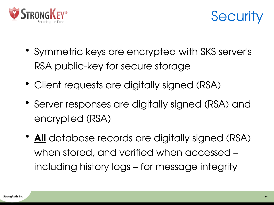



- Symmetric keys are encrypted with SKS server's RSA public-key for secure storage
- Client requests are digitally signed (RSA)
- Server responses are digitally signed (RSA) and encrypted (RSA)
- All database records are digitally signed (RSA) when stored, and verified when accessed – including history logs – for message integrity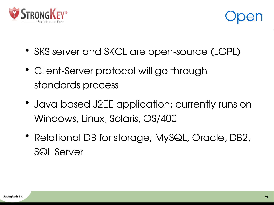



- SKS server and SKCL are open-source (LGPL)
- Client-Server protocol will go through standards process
- Java-based J2EE application; currently runs on Windows, Linux, Solaris, OS/400
- Relational DB for storage; MySQL, Oracle, DB2, SQL Server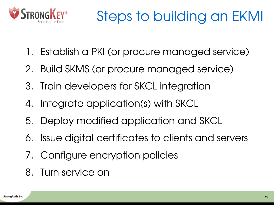

- 1. Establish a PKI (or procure managed service)
- 2. Build SKMS (or procure managed service)
- 3. Train developers for SKCL integration
- 4. Integrate application(s) with SKCL
- 5. Deploy modified application and SKCL
- 6. Issue digital certificates to clients and servers
- 7. Configure encryption policies
- 8. Turn service on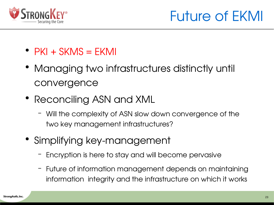

- $\bullet$  PKI + SKMS = EKMI
- Managing two infrastructures distinctly until convergence
- Reconciling ASN and XML
	- Will the complexity of ASN slow down convergence of the two key management infrastructures?
- Simplifying key-management
	- Encryption is here to stay and will become pervasive
	- Future of information management depends on maintaining information integrity and the infrastructure on which it works